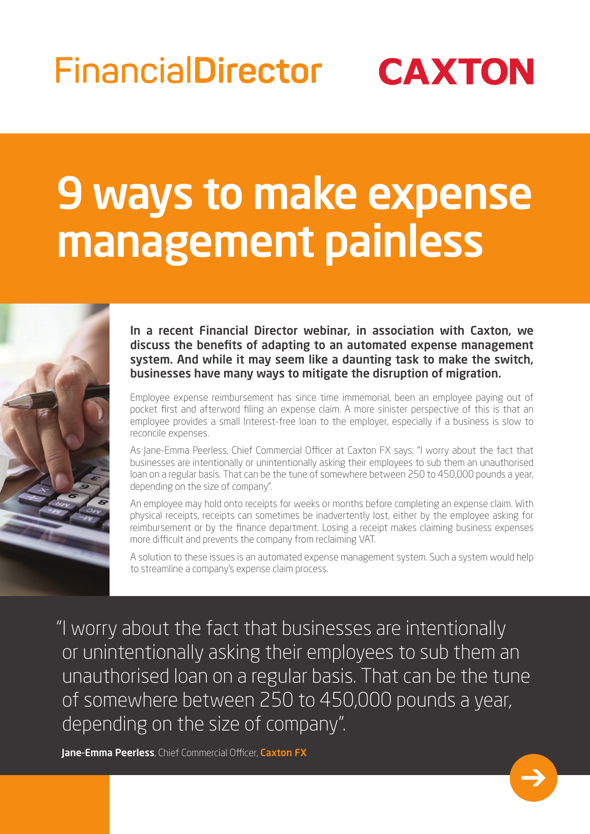## FinancialDirector

**CAXTON** 

## 9 ways to make expense management painless



In a recent Financial Director webinar, in association with Caxton, we discuss the benefits of adapting to an automated expense management system. And while it may seem like a daunting task to make the switch, businesses have many ways to mitigate the disruption of migration.

Employee expense reimbursement has since time immemorial, been an employee paying out of pocket first and afterword filing an expense claim. A more sinister perspective of this is that an employee provides a small Interest-free loan to the employer, especially if a business is slow to reconcile expenses.

As Jane-Emma Peerless, Chief Commercial Officer at Caxton FX says: "I worry about the fact that businesses are intentionally or unintentionally asking their employees to sub them an unauthorised loan on a regular basis. That can be the tune of somewhere between 250 to 450,000 pounds a year, depending on the size of company".

An employee may hold onto receipts for weeks or months before completing an expense claim. With physical receipts, receipts can sometimes be inadvertently lost, either by the employee asking for reimbursement or by the finance department. Losing a receipt makes claiming business expenses more difficult and prevents the company from reclaiming VAT.

A solution to these issues is an automated expense management system. Such a system would help to streamline a company's expense claim process.

"I worry about the fact that businesses are intentionally or unintentionally asking their employees to sub them an unauthorised loan on a regular basis. That can be the tune of somewhere between 250 to 450,000 pounds a year, depending on the size of company".

Jane-Emma Peerless, Chief Commercial Officer, Caxton FX